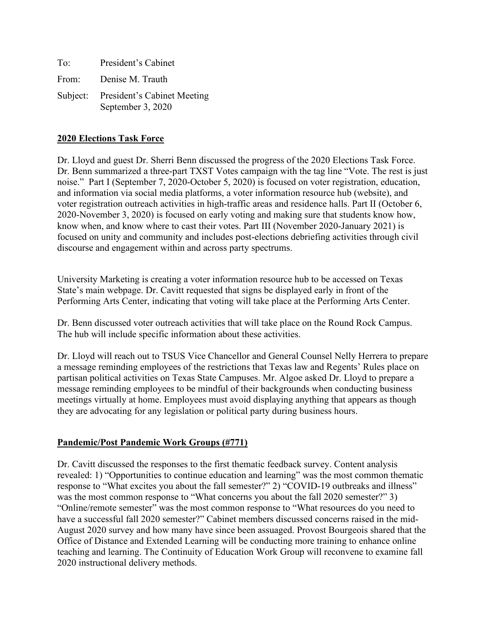| To:   | President's Cabinet                                       |
|-------|-----------------------------------------------------------|
| From: | Denise M. Trauth                                          |
|       | Subject: President's Cabinet Meeting<br>September 3, 2020 |

#### **2020 Elections Task Force**

Dr. Lloyd and guest Dr. Sherri Benn discussed the progress of the 2020 Elections Task Force. Dr. Benn summarized a three-part TXST Votes campaign with the tag line "Vote. The rest is just noise." Part I (September 7, 2020-October 5, 2020) is focused on voter registration, education, and information via social media platforms, a voter information resource hub (website), and voter registration outreach activities in high-traffic areas and residence halls. Part II (October 6, 2020-November 3, 2020) is focused on early voting and making sure that students know how, know when, and know where to cast their votes. Part III (November 2020-January 2021) is focused on unity and community and includes post-elections debriefing activities through civil discourse and engagement within and across party spectrums.

University Marketing is creating a voter information resource hub to be accessed on Texas State's main webpage. Dr. Cavitt requested that signs be displayed early in front of the Performing Arts Center, indicating that voting will take place at the Performing Arts Center.

Dr. Benn discussed voter outreach activities that will take place on the Round Rock Campus. The hub will include specific information about these activities.

Dr. Lloyd will reach out to TSUS Vice Chancellor and General Counsel Nelly Herrera to prepare a message reminding employees of the restrictions that Texas law and Regents' Rules place on partisan political activities on Texas State Campuses. Mr. Algoe asked Dr. Lloyd to prepare a message reminding employees to be mindful of their backgrounds when conducting business meetings virtually at home. Employees must avoid displaying anything that appears as though they are advocating for any legislation or political party during business hours.

### **Pandemic/Post Pandemic Work Groups (#771)**

Dr. Cavitt discussed the responses to the first thematic feedback survey. Content analysis revealed: 1) "Opportunities to continue education and learning" was the most common thematic response to "What excites you about the fall semester?" 2) "COVID-19 outbreaks and illness" was the most common response to "What concerns you about the fall 2020 semester?" 3) "Online/remote semester" was the most common response to "What resources do you need to have a successful fall 2020 semester?" Cabinet members discussed concerns raised in the mid-August 2020 survey and how many have since been assuaged. Provost Bourgeois shared that the Office of Distance and Extended Learning will be conducting more training to enhance online teaching and learning. The Continuity of Education Work Group will reconvene to examine fall 2020 instructional delivery methods.